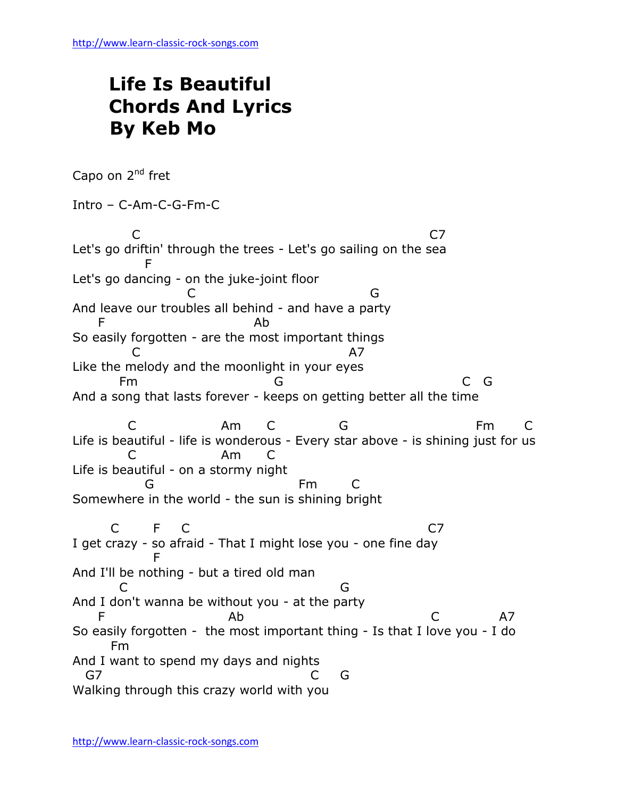## **Life Is Beautiful Chords And Lyrics By Keb Mo**

Capo on 2<sup>nd</sup> fret Intro – C-Am-C-G-Fm-C C<sub>2</sub> C<sub>2</sub> Let's go driftin' through the trees - Let's go sailing on the sea **Figure 19** Let's go dancing - on the juke-joint floor C G And leave our troubles all behind - and have a party F Ab So easily forgotten - are the most important things C A7 Like the melody and the moonlight in your eyes Fm G C G And a song that lasts forever - keeps on getting better all the time C Am C G Fm C Life is beautiful - life is wonderous - Every star above - is shining just for us C Am C Life is beautiful - on a stormy night G Fm C Somewhere in the world - the sun is shining bright C F C C7 I get crazy - so afraid - That I might lose you - one fine day **Figure 1999** And I'll be nothing - but a tired old man **C** G And I don't wanna be without you - at the party F Ab C A7 So easily forgotten - the most important thing - Is that I love you - I do Fm And I want to spend my days and nights G7 C G Walking through this crazy world with you